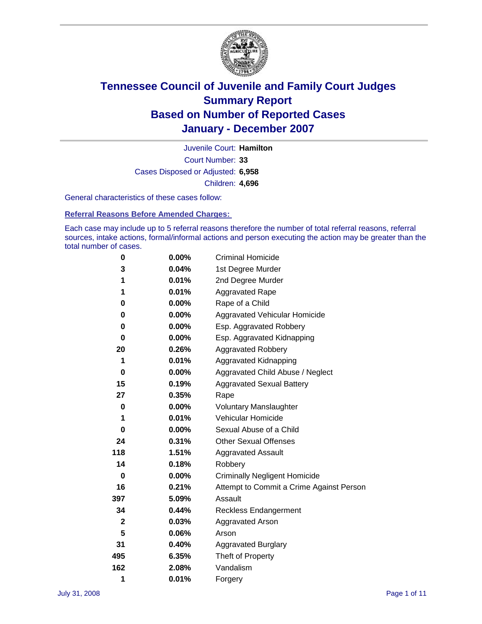

Court Number: **33** Juvenile Court: **Hamilton** Cases Disposed or Adjusted: **6,958** Children: **4,696**

General characteristics of these cases follow:

**Referral Reasons Before Amended Charges:** 

Each case may include up to 5 referral reasons therefore the number of total referral reasons, referral sources, intake actions, formal/informal actions and person executing the action may be greater than the total number of cases.

| 0            | $0.00\%$ | <b>Criminal Homicide</b>                 |
|--------------|----------|------------------------------------------|
| 3            | 0.04%    | 1st Degree Murder                        |
| 1            | $0.01\%$ | 2nd Degree Murder                        |
| 1            | 0.01%    | <b>Aggravated Rape</b>                   |
| 0            | 0.00%    | Rape of a Child                          |
| 0            | $0.00\%$ | Aggravated Vehicular Homicide            |
| 0            | 0.00%    | Esp. Aggravated Robbery                  |
| 0            | $0.00\%$ | Esp. Aggravated Kidnapping               |
| 20           | 0.26%    | <b>Aggravated Robbery</b>                |
| 1            | 0.01%    | Aggravated Kidnapping                    |
| 0            | $0.00\%$ | Aggravated Child Abuse / Neglect         |
| 15           | 0.19%    | <b>Aggravated Sexual Battery</b>         |
| 27           | 0.35%    | Rape                                     |
| $\bf{0}$     | 0.00%    | <b>Voluntary Manslaughter</b>            |
| 1            | 0.01%    | Vehicular Homicide                       |
| 0            | $0.00\%$ | Sexual Abuse of a Child                  |
| 24           | 0.31%    | <b>Other Sexual Offenses</b>             |
| 118          | 1.51%    | <b>Aggravated Assault</b>                |
| 14           | 0.18%    | Robbery                                  |
| 0            | $0.00\%$ | <b>Criminally Negligent Homicide</b>     |
| 16           | 0.21%    | Attempt to Commit a Crime Against Person |
| 397          | 5.09%    | Assault                                  |
| 34           | 0.44%    | <b>Reckless Endangerment</b>             |
| $\mathbf{2}$ | 0.03%    | <b>Aggravated Arson</b>                  |
| 5            | 0.06%    | Arson                                    |
| 31           | 0.40%    | <b>Aggravated Burglary</b>               |
| 495          | 6.35%    | Theft of Property                        |
| 162          | 2.08%    | Vandalism                                |
| 1            | 0.01%    | Forgery                                  |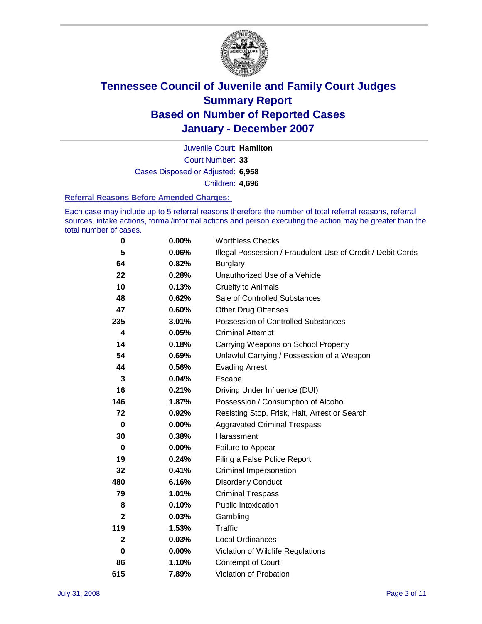

Court Number: **33** Juvenile Court: **Hamilton** Cases Disposed or Adjusted: **6,958** Children: **4,696**

#### **Referral Reasons Before Amended Charges:**

Each case may include up to 5 referral reasons therefore the number of total referral reasons, referral sources, intake actions, formal/informal actions and person executing the action may be greater than the total number of cases.

| 0            | 0.00% | <b>Worthless Checks</b>                                     |
|--------------|-------|-------------------------------------------------------------|
| 5            | 0.06% | Illegal Possession / Fraudulent Use of Credit / Debit Cards |
| 64           | 0.82% | <b>Burglary</b>                                             |
| 22           | 0.28% | Unauthorized Use of a Vehicle                               |
| 10           | 0.13% | <b>Cruelty to Animals</b>                                   |
| 48           | 0.62% | Sale of Controlled Substances                               |
| 47           | 0.60% | <b>Other Drug Offenses</b>                                  |
| 235          | 3.01% | Possession of Controlled Substances                         |
| 4            | 0.05% | <b>Criminal Attempt</b>                                     |
| 14           | 0.18% | Carrying Weapons on School Property                         |
| 54           | 0.69% | Unlawful Carrying / Possession of a Weapon                  |
| 44           | 0.56% | <b>Evading Arrest</b>                                       |
| 3            | 0.04% | Escape                                                      |
| 16           | 0.21% | Driving Under Influence (DUI)                               |
| 146          | 1.87% | Possession / Consumption of Alcohol                         |
| 72           | 0.92% | Resisting Stop, Frisk, Halt, Arrest or Search               |
| 0            | 0.00% | <b>Aggravated Criminal Trespass</b>                         |
| 30           | 0.38% | Harassment                                                  |
| 0            | 0.00% | Failure to Appear                                           |
| 19           | 0.24% | Filing a False Police Report                                |
| 32           | 0.41% | Criminal Impersonation                                      |
| 480          | 6.16% | <b>Disorderly Conduct</b>                                   |
| 79           | 1.01% | <b>Criminal Trespass</b>                                    |
| 8            | 0.10% | <b>Public Intoxication</b>                                  |
| $\mathbf{2}$ | 0.03% | Gambling                                                    |
| 119          | 1.53% | <b>Traffic</b>                                              |
| $\mathbf{2}$ | 0.03% | <b>Local Ordinances</b>                                     |
| 0            | 0.00% | Violation of Wildlife Regulations                           |
| 86           | 1.10% | <b>Contempt of Court</b>                                    |
| 615          | 7.89% | Violation of Probation                                      |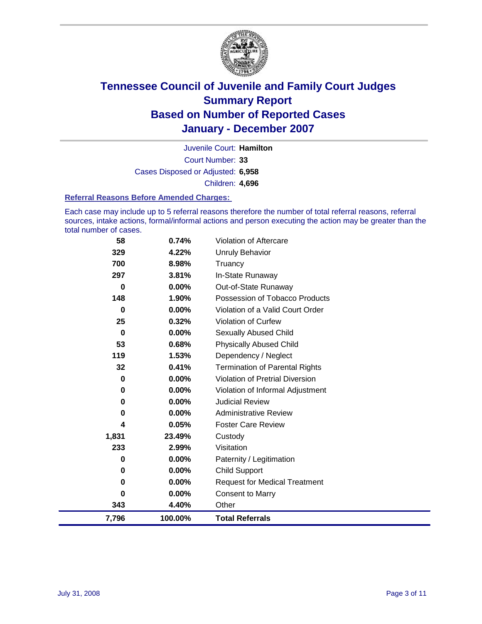

Court Number: **33** Juvenile Court: **Hamilton** Cases Disposed or Adjusted: **6,958** Children: **4,696**

#### **Referral Reasons Before Amended Charges:**

Each case may include up to 5 referral reasons therefore the number of total referral reasons, referral sources, intake actions, formal/informal actions and person executing the action may be greater than the total number of cases.

| 58       | 0.74%    | <b>Violation of Aftercare</b>         |
|----------|----------|---------------------------------------|
| 329      | 4.22%    | <b>Unruly Behavior</b>                |
| 700      | 8.98%    | Truancy                               |
| 297      | 3.81%    | In-State Runaway                      |
| $\bf{0}$ | 0.00%    | Out-of-State Runaway                  |
| 148      | 1.90%    | Possession of Tobacco Products        |
| 0        | $0.00\%$ | Violation of a Valid Court Order      |
| 25       | 0.32%    | <b>Violation of Curfew</b>            |
| $\bf{0}$ | $0.00\%$ | <b>Sexually Abused Child</b>          |
| 53       | 0.68%    | <b>Physically Abused Child</b>        |
| 119      | 1.53%    | Dependency / Neglect                  |
| 32       | 0.41%    | <b>Termination of Parental Rights</b> |
| 0        | $0.00\%$ | Violation of Pretrial Diversion       |
| 0        | 0.00%    | Violation of Informal Adjustment      |
| 0        | $0.00\%$ | Judicial Review                       |
| 0        | $0.00\%$ | <b>Administrative Review</b>          |
| 4        | 0.05%    | <b>Foster Care Review</b>             |
| 1,831    | 23.49%   | Custody                               |
| 233      | 2.99%    | Visitation                            |
| 0        | $0.00\%$ | Paternity / Legitimation              |
| 0        | 0.00%    | <b>Child Support</b>                  |
| 0        | $0.00\%$ | <b>Request for Medical Treatment</b>  |
| 0        | 0.00%    | <b>Consent to Marry</b>               |
| 343      | 4.40%    | Other                                 |
| 7,796    | 100.00%  | <b>Total Referrals</b>                |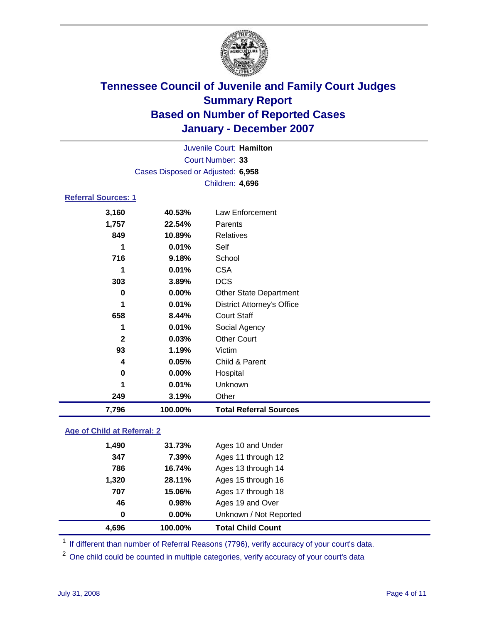

|                            |                                   | Juvenile Court: Hamilton |  |
|----------------------------|-----------------------------------|--------------------------|--|
|                            |                                   | Court Number: 33         |  |
|                            | Cases Disposed or Adjusted: 6,958 |                          |  |
|                            |                                   | <b>Children: 4,696</b>   |  |
| <b>Referral Sources: 1</b> |                                   |                          |  |
| 3,160                      | 40.53%                            | Law Enforcement          |  |
| 1,757                      | 22.54%                            | Parents                  |  |
| 849                        | 10.89%                            | Relatives                |  |

| 7,796        | 100.00%  | <b>Total Referral Sources</b>     |
|--------------|----------|-----------------------------------|
| 249          | 3.19%    | Other                             |
| 1            | 0.01%    | Unknown                           |
| 0            | $0.00\%$ | Hospital                          |
| 4            | 0.05%    | Child & Parent                    |
| 93           | 1.19%    | Victim                            |
| $\mathbf{2}$ | 0.03%    | <b>Other Court</b>                |
| 1            | 0.01%    | Social Agency                     |
| 658          | 8.44%    | <b>Court Staff</b>                |
| 1            | 0.01%    | <b>District Attorney's Office</b> |
| 0            | $0.00\%$ | <b>Other State Department</b>     |
| 303          | 3.89%    | <b>DCS</b>                        |
| 1            | 0.01%    | <b>CSA</b>                        |
| 716          | 9.18%    | School                            |
| 1            | 0.01%    | Self                              |
| 849          | 10.89%   | <b>Relatives</b>                  |

### **Age of Child at Referral: 2**

| 16.74%<br>28.11%<br>15.06%<br>0.98%<br>$0.00\%$ | Ages 13 through 14<br>Ages 15 through 16<br>Ages 17 through 18<br>Ages 19 and Over<br>Unknown / Not Reported |
|-------------------------------------------------|--------------------------------------------------------------------------------------------------------------|
|                                                 |                                                                                                              |
|                                                 |                                                                                                              |
|                                                 |                                                                                                              |
|                                                 |                                                                                                              |
|                                                 |                                                                                                              |
| 7.39%                                           | Ages 11 through 12                                                                                           |
|                                                 | Ages 10 and Under                                                                                            |
|                                                 | 31.73%                                                                                                       |

<sup>1</sup> If different than number of Referral Reasons (7796), verify accuracy of your court's data.

<sup>2</sup> One child could be counted in multiple categories, verify accuracy of your court's data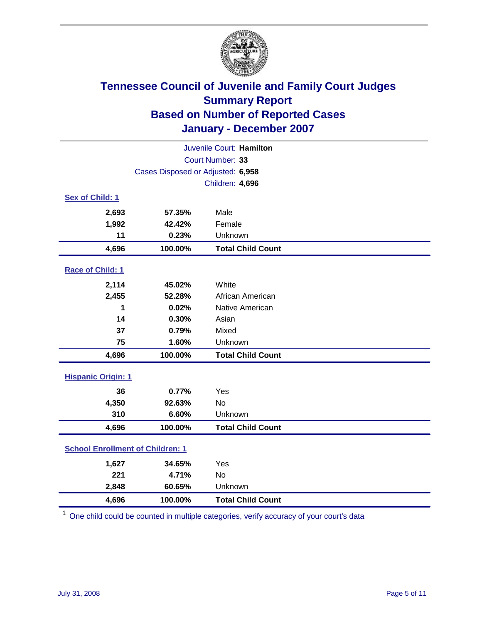

|                                         |         | Juvenile Court: Hamilton |  |  |
|-----------------------------------------|---------|--------------------------|--|--|
| Court Number: 33                        |         |                          |  |  |
| Cases Disposed or Adjusted: 6,958       |         |                          |  |  |
|                                         |         | Children: 4,696          |  |  |
| Sex of Child: 1                         |         |                          |  |  |
| 2,693                                   | 57.35%  | Male                     |  |  |
| 1,992                                   | 42.42%  | Female                   |  |  |
| 11                                      | 0.23%   | Unknown                  |  |  |
| 4,696                                   | 100.00% | <b>Total Child Count</b> |  |  |
| Race of Child: 1                        |         |                          |  |  |
| 2,114                                   | 45.02%  | White                    |  |  |
| 2,455                                   | 52.28%  | African American         |  |  |
| 1                                       | 0.02%   | Native American          |  |  |
| 14                                      | 0.30%   | Asian                    |  |  |
| 37                                      | 0.79%   | Mixed                    |  |  |
| 75                                      | 1.60%   | Unknown                  |  |  |
| 4,696                                   | 100.00% | <b>Total Child Count</b> |  |  |
| <b>Hispanic Origin: 1</b>               |         |                          |  |  |
| 36                                      | 0.77%   | Yes                      |  |  |
| 4,350                                   | 92.63%  | <b>No</b>                |  |  |
| 310                                     | 6.60%   | Unknown                  |  |  |
| 4,696                                   | 100.00% | <b>Total Child Count</b> |  |  |
| <b>School Enrollment of Children: 1</b> |         |                          |  |  |
| 1,627                                   | 34.65%  | Yes                      |  |  |
| 221                                     | 4.71%   | No                       |  |  |
| 2,848                                   | 60.65%  | Unknown                  |  |  |
| 4,696                                   | 100.00% | <b>Total Child Count</b> |  |  |

<sup>1</sup> One child could be counted in multiple categories, verify accuracy of your court's data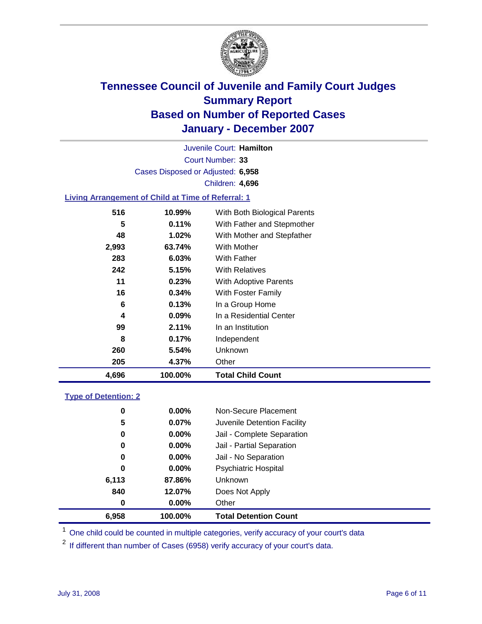

Court Number: **33** Juvenile Court: **Hamilton** Cases Disposed or Adjusted: **6,958** Children: **4,696**

### **Living Arrangement of Child at Time of Referral: 1**

| 4,696 | 100.00%  | <b>Total Child Count</b>     |
|-------|----------|------------------------------|
| 205   | 4.37%    | Other                        |
| 260   | 5.54%    | Unknown                      |
| 8     | 0.17%    | Independent                  |
| 99    | 2.11%    | In an Institution            |
| 4     | $0.09\%$ | In a Residential Center      |
| 6     | 0.13%    | In a Group Home              |
| 16    | 0.34%    | With Foster Family           |
| 11    | 0.23%    | <b>With Adoptive Parents</b> |
| 242   | 5.15%    | <b>With Relatives</b>        |
| 283   | 6.03%    | <b>With Father</b>           |
| 2,993 | 63.74%   | With Mother                  |
| 48    | 1.02%    | With Mother and Stepfather   |
| 5     | 0.11%    | With Father and Stepmother   |
| 516   | 10.99%   | With Both Biological Parents |

#### **Type of Detention: 2**

| 6.958 | 100.00%  | <b>Total Detention Count</b> |  |
|-------|----------|------------------------------|--|
| 0     | $0.00\%$ | Other                        |  |
| 840   | 12.07%   | Does Not Apply               |  |
| 6,113 | 87.86%   | Unknown                      |  |
| 0     | 0.00%    | <b>Psychiatric Hospital</b>  |  |
| 0     | $0.00\%$ | Jail - No Separation         |  |
| 0     | $0.00\%$ | Jail - Partial Separation    |  |
| 0     | $0.00\%$ | Jail - Complete Separation   |  |
| 5     | 0.07%    | Juvenile Detention Facility  |  |
| 0     | $0.00\%$ | Non-Secure Placement         |  |
|       |          |                              |  |

<sup>1</sup> One child could be counted in multiple categories, verify accuracy of your court's data

<sup>2</sup> If different than number of Cases (6958) verify accuracy of your court's data.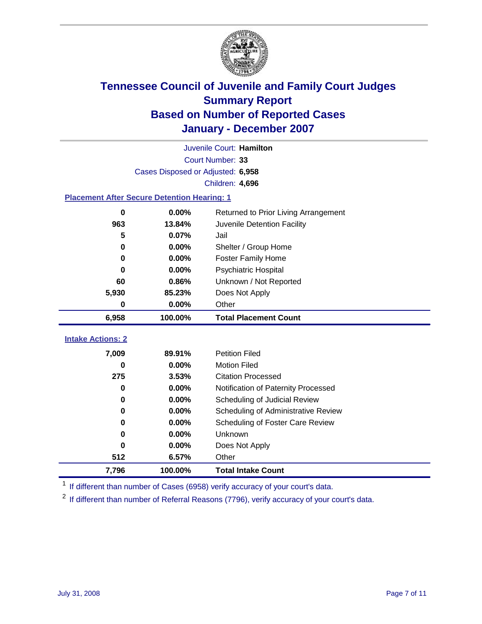

|                                                    |                                   | Juvenile Court: Hamilton             |  |  |  |
|----------------------------------------------------|-----------------------------------|--------------------------------------|--|--|--|
|                                                    |                                   | Court Number: 33                     |  |  |  |
|                                                    | Cases Disposed or Adjusted: 6,958 |                                      |  |  |  |
|                                                    |                                   | Children: 4,696                      |  |  |  |
| <b>Placement After Secure Detention Hearing: 1</b> |                                   |                                      |  |  |  |
| 0                                                  | 0.00%                             | Returned to Prior Living Arrangement |  |  |  |
| 963                                                | 13.84%                            | Juvenile Detention Facility          |  |  |  |
| 5                                                  | 0.07%                             | Jail                                 |  |  |  |
| 0                                                  | 0.00%                             | Shelter / Group Home                 |  |  |  |
| 0                                                  | 0.00%                             | Foster Family Home                   |  |  |  |
| 0                                                  | 0.00%                             | Psychiatric Hospital                 |  |  |  |
| 60                                                 | 0.86%                             | Unknown / Not Reported               |  |  |  |
| 5,930                                              | 85.23%                            | Does Not Apply                       |  |  |  |
| 0                                                  | 0.00%                             | Other                                |  |  |  |
| 6,958                                              | 100.00%                           | <b>Total Placement Count</b>         |  |  |  |
|                                                    |                                   |                                      |  |  |  |
| <b>Intake Actions: 2</b>                           |                                   |                                      |  |  |  |
| 7,009                                              | 89.91%                            | <b>Petition Filed</b>                |  |  |  |
| 0                                                  | 0.00%                             | <b>Motion Filed</b>                  |  |  |  |
| 275                                                | 3.53%                             | <b>Citation Processed</b>            |  |  |  |
| 0                                                  | 0.00%                             | Notification of Paternity Processed  |  |  |  |
| 0                                                  | 0.00%                             | Scheduling of Judicial Review        |  |  |  |
| 0                                                  | 0.00%                             | Scheduling of Administrative Review  |  |  |  |
| 0                                                  | 0.00%                             | Scheduling of Foster Care Review     |  |  |  |
| 0                                                  | 0.00%                             | Unknown                              |  |  |  |
| 0                                                  | 0.00%                             | Does Not Apply                       |  |  |  |
| 512                                                | 6.57%                             | Other                                |  |  |  |
| 7,796                                              | 100.00%                           | <b>Total Intake Count</b>            |  |  |  |

<sup>1</sup> If different than number of Cases (6958) verify accuracy of your court's data.

<sup>2</sup> If different than number of Referral Reasons (7796), verify accuracy of your court's data.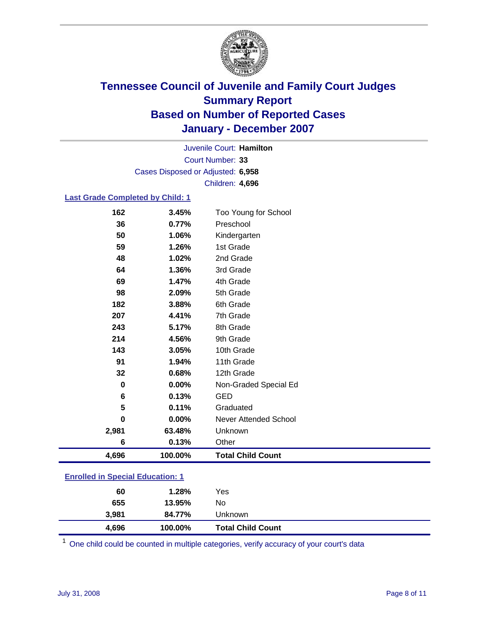

Court Number: **33** Juvenile Court: **Hamilton** Cases Disposed or Adjusted: **6,958** Children: **4,696**

#### **Last Grade Completed by Child: 1**

| 4,696    | 100.00% | <b>Total Child Count</b> |
|----------|---------|--------------------------|
| 6        | 0.13%   | Other                    |
| 2,981    | 63.48%  | Unknown                  |
| $\bf{0}$ | 0.00%   | Never Attended School    |
| 5        | 0.11%   | Graduated                |
| 6        | 0.13%   | <b>GED</b>               |
| $\bf{0}$ | 0.00%   | Non-Graded Special Ed    |
| 32       | 0.68%   | 12th Grade               |
| 91       | 1.94%   | 11th Grade               |
| 143      | 3.05%   | 10th Grade               |
| 214      | 4.56%   | 9th Grade                |
| 243      | 5.17%   | 8th Grade                |
| 207      | 4.41%   | 7th Grade                |
| 182      | 3.88%   | 6th Grade                |
| 98       | 2.09%   | 5th Grade                |
| 69       | 1.47%   | 4th Grade                |
| 64       | 1.36%   | 3rd Grade                |
| 48       | 1.02%   | 2nd Grade                |
| 59       | 1.26%   | 1st Grade                |
| 50       | 1.06%   | Kindergarten             |
| 36       | 0.77%   | Preschool                |
| 162      | 3.45%   | Too Young for School     |

### **Enrolled in Special Education: 1**

| 4,696 | 100.00% | <b>Total Child Count</b> |  |
|-------|---------|--------------------------|--|
| 3,981 | 84.77%  | Unknown                  |  |
| 655   | 13.95%  | No                       |  |
| 60    | 1.28%   | Yes                      |  |
|       |         |                          |  |

<sup>1</sup> One child could be counted in multiple categories, verify accuracy of your court's data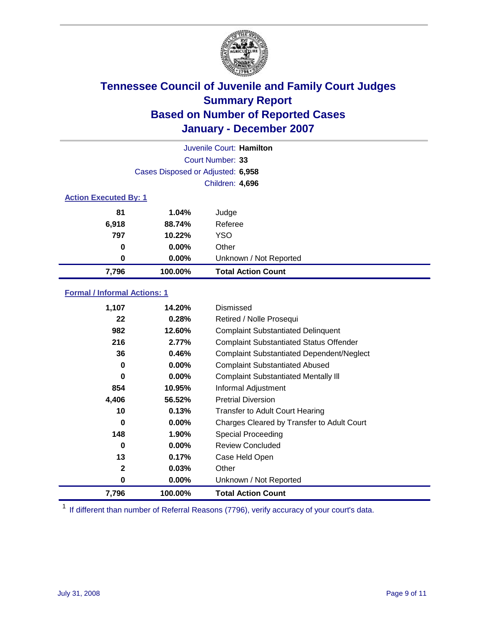

|                              |                                   | Juvenile Court: Hamilton  |
|------------------------------|-----------------------------------|---------------------------|
|                              |                                   | Court Number: 33          |
|                              | Cases Disposed or Adjusted: 6,958 |                           |
|                              |                                   | Children: 4,696           |
| <b>Action Executed By: 1</b> |                                   |                           |
| 81                           | 1.04%                             | Judge                     |
| 6,918                        | 88.74%                            | Referee                   |
| 797                          | 10.22%                            | <b>YSO</b>                |
| $\bf{0}$                     | $0.00\%$                          | Other                     |
| $\bf{0}$                     | $0.00\%$                          | Unknown / Not Reported    |
| 7,796                        | 100.00%                           | <b>Total Action Count</b> |

### **Formal / Informal Actions: 1**

| 1,107        | 14.20%   | Dismissed                                        |
|--------------|----------|--------------------------------------------------|
| 22           | 0.28%    | Retired / Nolle Prosequi                         |
| 982          | 12.60%   | <b>Complaint Substantiated Delinquent</b>        |
| 216          | 2.77%    | <b>Complaint Substantiated Status Offender</b>   |
| 36           | 0.46%    | <b>Complaint Substantiated Dependent/Neglect</b> |
| 0            | 0.00%    | <b>Complaint Substantiated Abused</b>            |
| 0            | $0.00\%$ | <b>Complaint Substantiated Mentally III</b>      |
| 854          | 10.95%   | Informal Adjustment                              |
| 4,406        | 56.52%   | <b>Pretrial Diversion</b>                        |
| 10           | 0.13%    | <b>Transfer to Adult Court Hearing</b>           |
| 0            | $0.00\%$ | Charges Cleared by Transfer to Adult Court       |
| 148          | 1.90%    | Special Proceeding                               |
| 0            | $0.00\%$ | <b>Review Concluded</b>                          |
| 13           | 0.17%    | Case Held Open                                   |
| $\mathbf{2}$ | $0.03\%$ | Other                                            |
| 0            | 0.00%    | Unknown / Not Reported                           |
| 7,796        | 100.00%  | <b>Total Action Count</b>                        |

<sup>1</sup> If different than number of Referral Reasons (7796), verify accuracy of your court's data.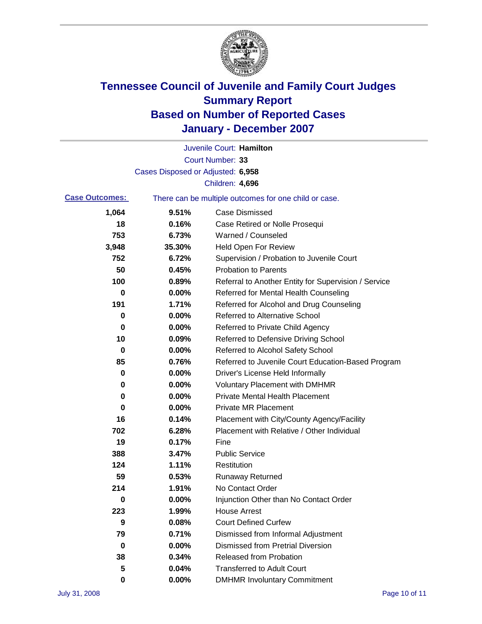

|                       |                                   | Juvenile Court: Hamilton                              |
|-----------------------|-----------------------------------|-------------------------------------------------------|
|                       |                                   | Court Number: 33                                      |
|                       | Cases Disposed or Adjusted: 6,958 |                                                       |
|                       |                                   | Children: 4,696                                       |
| <b>Case Outcomes:</b> |                                   | There can be multiple outcomes for one child or case. |
| 1,064                 | 9.51%                             | <b>Case Dismissed</b>                                 |
| 18                    | 0.16%                             | Case Retired or Nolle Prosequi                        |
| 753                   | 6.73%                             | Warned / Counseled                                    |
| 3,948                 | 35.30%                            | <b>Held Open For Review</b>                           |
| 752                   | 6.72%                             | Supervision / Probation to Juvenile Court             |
| 50                    | 0.45%                             | <b>Probation to Parents</b>                           |
| 100                   | 0.89%                             | Referral to Another Entity for Supervision / Service  |
| 0                     | 0.00%                             | Referred for Mental Health Counseling                 |
| 191                   | 1.71%                             | Referred for Alcohol and Drug Counseling              |
| 0                     | 0.00%                             | <b>Referred to Alternative School</b>                 |
| 0                     | 0.00%                             | Referred to Private Child Agency                      |
| 10                    | 0.09%                             | Referred to Defensive Driving School                  |
| 0                     | 0.00%                             | Referred to Alcohol Safety School                     |
| 85                    | 0.76%                             | Referred to Juvenile Court Education-Based Program    |
| 0                     | 0.00%                             | Driver's License Held Informally                      |
| 0                     | 0.00%                             | <b>Voluntary Placement with DMHMR</b>                 |
| 0                     | 0.00%                             | <b>Private Mental Health Placement</b>                |
| 0                     | 0.00%                             | <b>Private MR Placement</b>                           |
| 16                    | 0.14%                             | Placement with City/County Agency/Facility            |
| 702                   | 6.28%                             | Placement with Relative / Other Individual            |
| 19                    | 0.17%                             | Fine                                                  |
| 388                   | 3.47%                             | <b>Public Service</b>                                 |
| 124                   | 1.11%                             | Restitution                                           |
| 59                    | 0.53%                             | <b>Runaway Returned</b>                               |
| 214                   | 1.91%                             | No Contact Order                                      |
| 0                     | $0.00\%$                          | Injunction Other than No Contact Order                |
| 223                   | 1.99%                             | <b>House Arrest</b>                                   |
| 9                     | 0.08%                             | <b>Court Defined Curfew</b>                           |
| 79                    | 0.71%                             | Dismissed from Informal Adjustment                    |
| 0                     | 0.00%                             | <b>Dismissed from Pretrial Diversion</b>              |
| 38                    | 0.34%                             | Released from Probation                               |
| 5                     | 0.04%                             | <b>Transferred to Adult Court</b>                     |
| 0                     | 0.00%                             | <b>DMHMR Involuntary Commitment</b>                   |